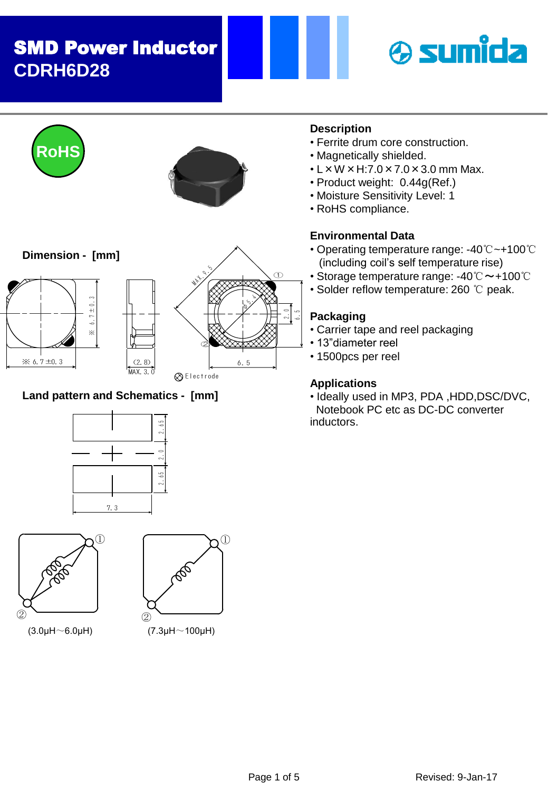# SMD Power Inductor **CDRH6D28**





### **Land pattern and Schematics - [mm]**





① PO ②

(3.0µH $\sim$ 6.0µH) (7.3µH $\sim$ 100µH)



- Ferrite drum core construction.
- Magnetically shielded.
- $\cdot$  L  $\times$  W  $\times$  H:7.0  $\times$  7.0  $\times$  3.0 mm Max.
- Product weight: 0.44g(Ref.)
- Moisture Sensitivity Level: 1
- RoHS compliance.

# **Environmental Data**

- Operating temperature range: -40℃~+100℃ (including coil's self temperature rise)
- Storage temperature range: -40℃~+100℃
- Solder reflow temperature: 260 ℃ peak.

### **Packaging**

- Carrier tape and reel packaging
- 13"diameter reel
- 1500pcs per reel

# **Applications**

• Ideally used in MP3, PDA ,HDD,DSC/DVC, Notebook PC etc as DC-DC converter inductors.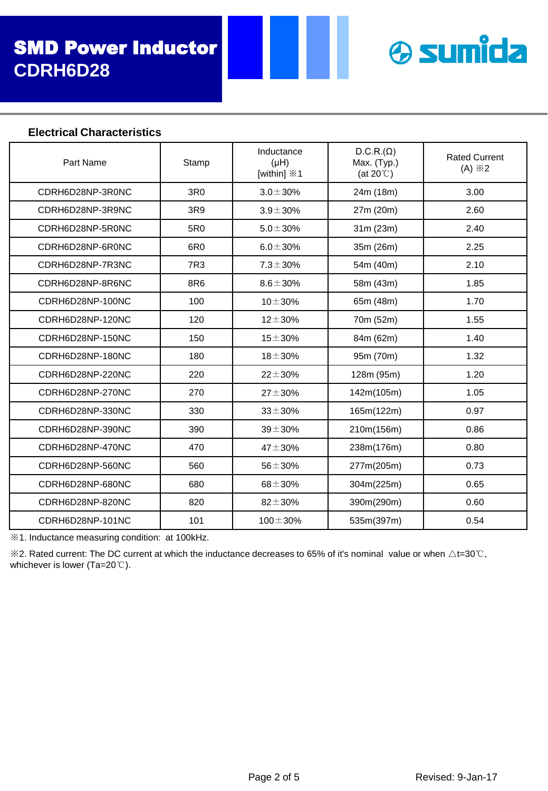

#### **Electrical Characteristics**

| Part Name        | Stamp           | Inductance<br>$(\mu H)$<br>[within] $\divideontimes$ 1 | $D.C.R.(\Omega)$<br>Max. (Typ.)<br>(at $20^{\circ}$ ) | <b>Rated Current</b><br>$(A) \times 2$ |
|------------------|-----------------|--------------------------------------------------------|-------------------------------------------------------|----------------------------------------|
| CDRH6D28NP-3R0NC | 3R <sub>0</sub> | $3.0 \pm 30\%$                                         | 24m (18m)                                             | 3.00                                   |
| CDRH6D28NP-3R9NC | 3R9             | $3.9 \pm 30\%$                                         | 27m (20m)                                             | 2.60                                   |
| CDRH6D28NP-5R0NC | 5R0             | $5.0 \pm 30\%$                                         | 31m (23m)                                             | 2.40                                   |
| CDRH6D28NP-6R0NC | 6R <sub>0</sub> | $6.0 \pm 30\%$                                         | 35m (26m)                                             | 2.25                                   |
| CDRH6D28NP-7R3NC | 7R3             | $7.3 \pm 30\%$                                         | 54m (40m)                                             | 2.10                                   |
| CDRH6D28NP-8R6NC | 8R6             | $8.6 \pm 30\%$                                         | 58m (43m)                                             | 1.85                                   |
| CDRH6D28NP-100NC | 100             | $10 + 30%$                                             | 65m (48m)                                             | 1.70                                   |
| CDRH6D28NP-120NC | 120             | $12 + 30%$                                             | 70m (52m)                                             | 1.55                                   |
| CDRH6D28NP-150NC | 150             | $15 + 30%$                                             | 84m (62m)                                             | 1.40                                   |
| CDRH6D28NP-180NC | 180             | $18 + 30%$                                             | 95m (70m)                                             | 1.32                                   |
| CDRH6D28NP-220NC | 220             | $22 \pm 30\%$                                          | 128m (95m)                                            | 1.20                                   |
| CDRH6D28NP-270NC | 270             | $27 + 30%$                                             | 142m(105m)                                            | 1.05                                   |
| CDRH6D28NP-330NC | 330             | $33 \pm 30\%$                                          | 165m(122m)                                            | 0.97                                   |
| CDRH6D28NP-390NC | 390             | $39 + 30%$                                             | 210m(156m)                                            | 0.86                                   |
| CDRH6D28NP-470NC | 470             | $47 + 30%$                                             | 238m(176m)                                            | 0.80                                   |
| CDRH6D28NP-560NC | 560             | $56 + 30%$                                             | 277m(205m)                                            | 0.73                                   |
| CDRH6D28NP-680NC | 680             | $68 + 30%$                                             | 304m(225m)                                            | 0.65                                   |
| CDRH6D28NP-820NC | 820             | $82 + 30%$                                             | 390m(290m)                                            | 0.60                                   |
| CDRH6D28NP-101NC | 101             | $100 \pm 30\%$                                         | 535m(397m)                                            | 0.54                                   |

※1. Inductance measuring condition: at 100kHz.

 $\&$ 2. Rated current: The DC current at which the inductance decreases to 65% of it's nominal value or when ∆t=30℃, whichever is lower (Ta=20℃).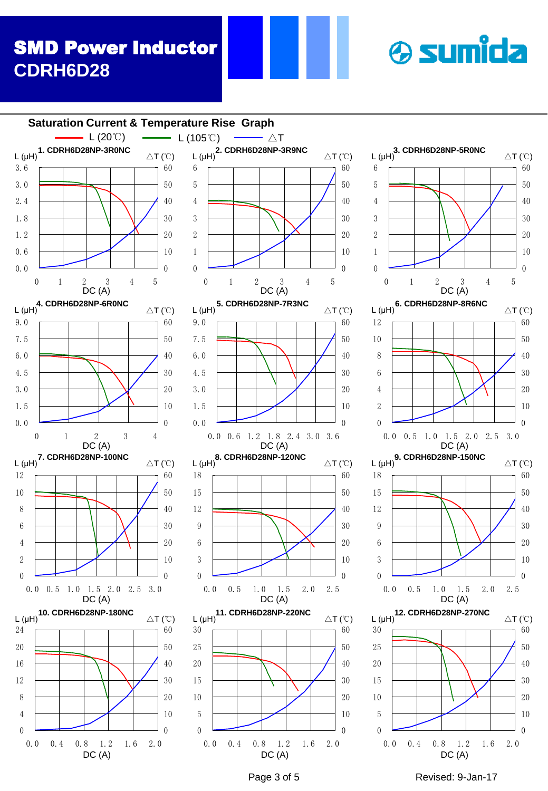# SMD Power Inductor **CDRH6D28**







 $\Omega$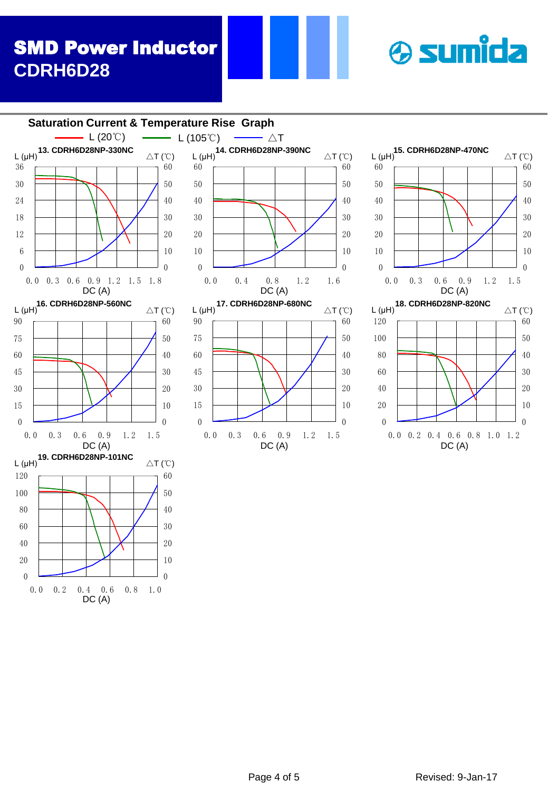# SMD Power Inductor **CDRH6D28**







 $\triangle T$  (°C)